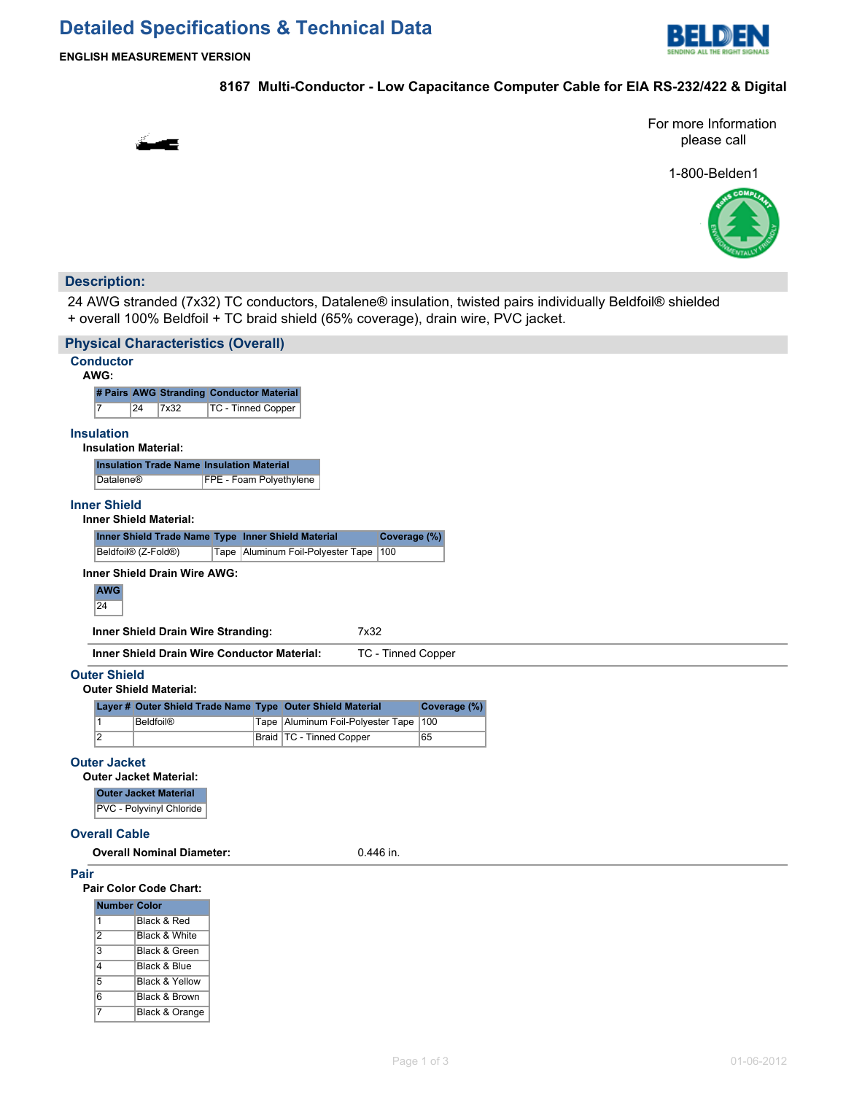# **Detailed Specifications & Technical Data**



**ENGLISH MEASUREMENT VERSION**

# **8167 Multi-Conductor - Low Capacitance Computer Cable for EIA RS-232/422 & Digital**



For more Information please call

1-800-Belden1



# **Description:**

24 AWG stranded (7x32) TC conductors, Datalene® insulation, twisted pairs individually Beldfoil® shielded + overall 100% Beldfoil + TC braid shield (65% coverage), drain wire, PVC jacket.

|                                                                    | <b>Physical Characteristics (Overall)</b>                                                                              |  |                                                            |              |  |  |  |  |  |  |
|--------------------------------------------------------------------|------------------------------------------------------------------------------------------------------------------------|--|------------------------------------------------------------|--------------|--|--|--|--|--|--|
| <b>Conductor</b><br>AWG:                                           |                                                                                                                        |  |                                                            |              |  |  |  |  |  |  |
|                                                                    | # Pairs AWG Stranding Conductor Material                                                                               |  |                                                            |              |  |  |  |  |  |  |
| 17                                                                 | TC - Tinned Copper<br>24<br>7x32                                                                                       |  |                                                            |              |  |  |  |  |  |  |
| <b>Insulation</b>                                                  | <b>Insulation Material:</b>                                                                                            |  |                                                            |              |  |  |  |  |  |  |
| <b>Insulation Trade Name Insulation Material</b>                   |                                                                                                                        |  |                                                            |              |  |  |  |  |  |  |
|                                                                    | FPE - Foam Polyethylene<br>Datalene®                                                                                   |  |                                                            |              |  |  |  |  |  |  |
| <b>Inner Shield</b><br><b>Inner Shield Material:</b>               |                                                                                                                        |  |                                                            |              |  |  |  |  |  |  |
| Inner Shield Trade Name Type Inner Shield Material<br>Coverage (%) |                                                                                                                        |  |                                                            |              |  |  |  |  |  |  |
|                                                                    | Beldfoil <sup>®</sup> (Z-Fold <sup>®</sup> )                                                                           |  | Tape   Aluminum Foil-Polyester Tape   100                  |              |  |  |  |  |  |  |
| Inner Shield Drain Wire AWG:<br><b>AWG</b><br>24                   |                                                                                                                        |  |                                                            |              |  |  |  |  |  |  |
|                                                                    | Inner Shield Drain Wire Stranding:<br>7x32<br><b>Inner Shield Drain Wire Conductor Material:</b><br>TC - Tinned Copper |  |                                                            |              |  |  |  |  |  |  |
|                                                                    |                                                                                                                        |  |                                                            |              |  |  |  |  |  |  |
| <b>Outer Shield</b>                                                | <b>Outer Shield Material:</b>                                                                                          |  |                                                            |              |  |  |  |  |  |  |
|                                                                    |                                                                                                                        |  | Layer # Outer Shield Trade Name Type Outer Shield Material | Coverage (%) |  |  |  |  |  |  |
| $\vert$ 1                                                          | <b>Beldfoil®</b>                                                                                                       |  | Tape   Aluminum Foil-Polyester Tape                        | 100          |  |  |  |  |  |  |
| $\overline{2}$                                                     |                                                                                                                        |  | Braid   TC - Tinned Copper                                 | 65           |  |  |  |  |  |  |
| <b>Outer Jacket</b>                                                |                                                                                                                        |  |                                                            |              |  |  |  |  |  |  |
|                                                                    | <b>Outer Jacket Material:</b>                                                                                          |  |                                                            |              |  |  |  |  |  |  |
|                                                                    | <b>Outer Jacket Material</b>                                                                                           |  |                                                            |              |  |  |  |  |  |  |
|                                                                    | PVC - Polyvinyl Chloride                                                                                               |  |                                                            |              |  |  |  |  |  |  |
|                                                                    | <b>Overall Cable</b>                                                                                                   |  |                                                            |              |  |  |  |  |  |  |
|                                                                    | <b>Overall Nominal Diameter:</b>                                                                                       |  | 0.446 in.                                                  |              |  |  |  |  |  |  |
| Pair                                                               |                                                                                                                        |  |                                                            |              |  |  |  |  |  |  |
|                                                                    | Pair Color Code Chart:                                                                                                 |  |                                                            |              |  |  |  |  |  |  |
| <b>Number Color</b>                                                |                                                                                                                        |  |                                                            |              |  |  |  |  |  |  |
| 1<br>$\overline{2}$                                                | Black & Red<br>Black & White                                                                                           |  |                                                            |              |  |  |  |  |  |  |
| 3                                                                  | Black & Green                                                                                                          |  |                                                            |              |  |  |  |  |  |  |
| $\overline{4}$                                                     | Black & Blue                                                                                                           |  |                                                            |              |  |  |  |  |  |  |
| $\overline{5}$                                                     | <b>Black &amp; Yellow</b>                                                                                              |  |                                                            |              |  |  |  |  |  |  |
| 6                                                                  | Black & Brown                                                                                                          |  |                                                            |              |  |  |  |  |  |  |
| $\overline{7}$                                                     | Black & Orange                                                                                                         |  |                                                            |              |  |  |  |  |  |  |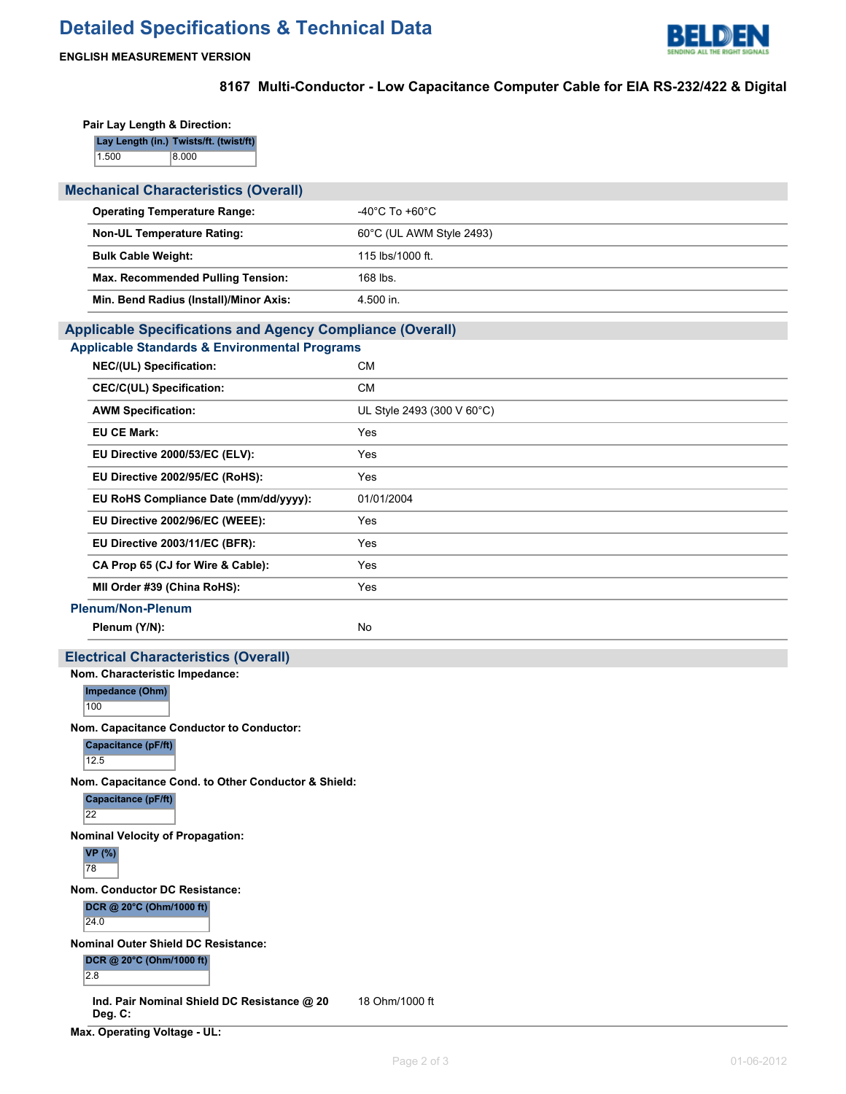

# **ENGLISH MEASUREMENT VERSION**

# **8167 Multi-Conductor - Low Capacitance Computer Cable for EIA RS-232/422 & Digital**

| Pair Lay Length & Direction:                                     |                                      |  |  |  |  |  |  |
|------------------------------------------------------------------|--------------------------------------|--|--|--|--|--|--|
| Lay Length (in.) Twists/ft. (twist/ft)                           |                                      |  |  |  |  |  |  |
| 1.500<br>8.000                                                   |                                      |  |  |  |  |  |  |
| <b>Mechanical Characteristics (Overall)</b>                      |                                      |  |  |  |  |  |  |
| <b>Operating Temperature Range:</b>                              | -40 $^{\circ}$ C To +60 $^{\circ}$ C |  |  |  |  |  |  |
| <b>Non-UL Temperature Rating:</b>                                | 60°C (UL AWM Style 2493)             |  |  |  |  |  |  |
| <b>Bulk Cable Weight:</b>                                        | 115 lbs/1000 ft.                     |  |  |  |  |  |  |
| Max. Recommended Pulling Tension:                                | 168 lbs.                             |  |  |  |  |  |  |
| Min. Bend Radius (Install)/Minor Axis:                           | 4.500 in.                            |  |  |  |  |  |  |
| <b>Applicable Specifications and Agency Compliance (Overall)</b> |                                      |  |  |  |  |  |  |
| <b>Applicable Standards &amp; Environmental Programs</b>         |                                      |  |  |  |  |  |  |
| NEC/(UL) Specification:                                          | <b>CM</b>                            |  |  |  |  |  |  |
| <b>CEC/C(UL) Specification:</b>                                  | <b>CM</b>                            |  |  |  |  |  |  |
| <b>AWM Specification:</b>                                        | UL Style 2493 (300 V 60°C)           |  |  |  |  |  |  |
| <b>EU CE Mark:</b>                                               | Yes                                  |  |  |  |  |  |  |
| EU Directive 2000/53/EC (ELV):                                   | Yes                                  |  |  |  |  |  |  |
| EU Directive 2002/95/EC (RoHS):                                  | Yes                                  |  |  |  |  |  |  |
| EU RoHS Compliance Date (mm/dd/yyyy):                            | 01/01/2004                           |  |  |  |  |  |  |
| EU Directive 2002/96/EC (WEEE):                                  | Yes                                  |  |  |  |  |  |  |
| EU Directive 2003/11/EC (BFR):                                   | Yes                                  |  |  |  |  |  |  |
| CA Prop 65 (CJ for Wire & Cable):                                | Yes                                  |  |  |  |  |  |  |
| MII Order #39 (China RoHS):                                      | Yes                                  |  |  |  |  |  |  |
| <b>Plenum/Non-Plenum</b>                                         |                                      |  |  |  |  |  |  |
| Plenum (Y/N):                                                    | No                                   |  |  |  |  |  |  |
| <b>Electrical Characteristics (Overall)</b>                      |                                      |  |  |  |  |  |  |
| Nom. Characteristic Impedance:<br>Impedance (Ohm)                |                                      |  |  |  |  |  |  |
| 100                                                              |                                      |  |  |  |  |  |  |
| Nom. Capacitance Conductor to Conductor:                         |                                      |  |  |  |  |  |  |
| Capacitance (pF/ft)<br>12.5                                      |                                      |  |  |  |  |  |  |
| Nom. Capacitance Cond. to Other Conductor & Shield:              |                                      |  |  |  |  |  |  |
| <b>Capacitance (pF/ft)</b><br>22                                 |                                      |  |  |  |  |  |  |
| <b>Nominal Velocity of Propagation:</b>                          |                                      |  |  |  |  |  |  |
| <b>VP</b> (%)<br>78                                              |                                      |  |  |  |  |  |  |
| <b>Nom. Conductor DC Resistance:</b>                             |                                      |  |  |  |  |  |  |
| DCR @ 20°C (Ohm/1000 ft)<br>24.0                                 |                                      |  |  |  |  |  |  |
| <b>Nominal Outer Shield DC Resistance:</b>                       |                                      |  |  |  |  |  |  |
| DCR @ 20°C (Ohm/1000 ft)<br>2.8                                  |                                      |  |  |  |  |  |  |
| Ind. Pair Nominal Shield DC Resistance @ 20<br>Deg. C:           | 18 Ohm/1000 ft                       |  |  |  |  |  |  |

**Max. Operating Voltage - UL:**